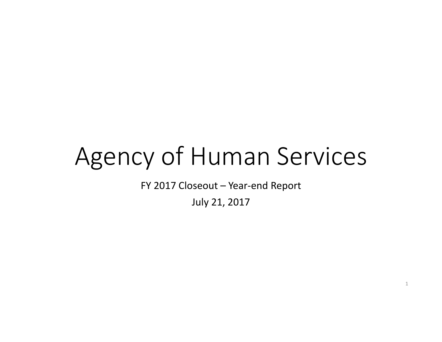## Agency of Human Services

FY 2017 Closeout – Year-end Report

July 21, 2017

1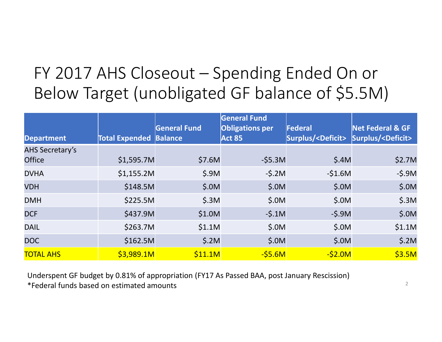## FY 2017 AHS Closeout – Spending Ended On or Below Target (unobligated GF balance of \$5.5M)

| <b>Department</b>      | <b>Total Expended Balance</b> | General Fund | General Fund<br><b>Obligations per</b><br><b>Act 85</b> | Federal<br>Surplus/ <deficit></deficit> | <b>Net Federal &amp; GF</b><br>Surplus/ <deficit></deficit> |
|------------------------|-------------------------------|--------------|---------------------------------------------------------|-----------------------------------------|-------------------------------------------------------------|
| <b>AHS Secretary's</b> |                               |              |                                                         |                                         |                                                             |
| <b>Office</b>          | \$1,595.7M                    | \$7.6M       | $-55.3M$                                                | \$.4M                                   | \$2.7M                                                      |
| <b>DVHA</b>            | \$1,155.2M                    | \$.9M        | $-5.2M$                                                 | $-51.6M$                                | $-5.9M$                                                     |
| <b>VDH</b>             | \$148.5M                      | \$.0M        | \$.0M                                                   | \$.0M                                   | \$.0M                                                       |
| <b>DMH</b>             | \$225.5M                      | \$.3M        | \$.0M                                                   | \$.0M                                   | \$.3M                                                       |
| <b>DCF</b>             | \$437.9M                      | \$1.0M       | $-5.1M$                                                 | $-5.9M$                                 | \$.0M                                                       |
| <b>DAIL</b>            | \$263.7M                      | \$1.1M       | \$.0M                                                   | \$.0M                                   | \$1.1M                                                      |
| <b>DOC</b>             | \$162.5M                      | \$.2M        | \$.0M                                                   | \$.0M                                   | \$.2M                                                       |
| <b>TOTAL AHS</b>       | \$3,989.1M                    | \$11.1M      | $-S5.6M$                                                | $-S2.0M$                                | \$3.5M                                                      |

Underspent GF budget by 0.81% of appropriation (FY17 As Passed BAA, post January Rescission) \*Federal funds based on estimated amounts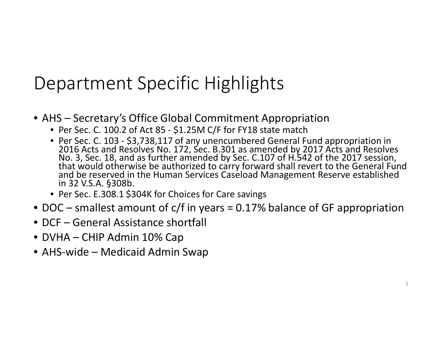## Department Specific Highlights

- AHS Secretary's Office Global Commitment Appropriation
	- Per Sec. C. 100.2 of Act 85 \$1.25M C/F for FY18 state match
	- Per Sec. C. 103 \$3,738,117 of any unencumbered General Fund appropriation in 2016 Acts and Resolves No. 172, Sec. B.301 as amended by 2017 Acts and Resolves No. 3, Sec. 18, and as further amended by Sec. C.107 of H.542 of the 2017 session, that would otherwise be authorized to carry forward shall revert to the General Fund and be reserved in the Human Services Caseload Management Reserve established in 32 V.S.A. §308b.
	- Per Sec. E.308.1 \$304K for Choices for Care savings
- DOC smallest amount of c/f in years = 0.17% balance of GF appropriation
- DCF General Assistance shortfall
- DVHA CHIP Admin 10% Cap
- AHS-wide Medicaid Admin Swap